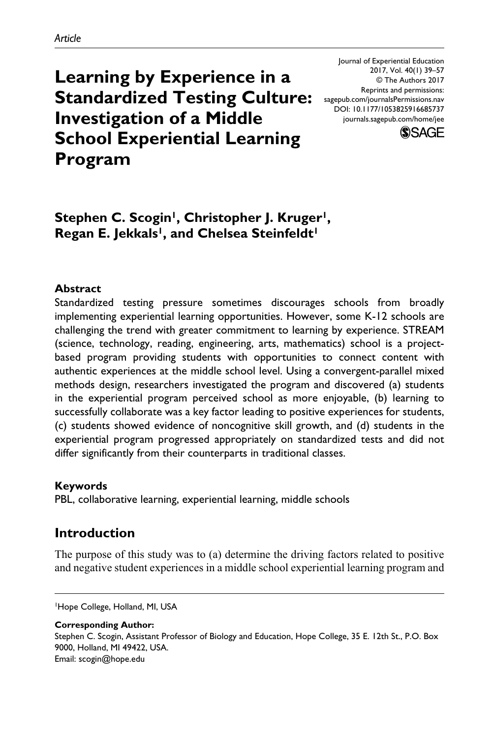**Learning by Experience in a Standardized Testing Culture: Investigation of a Middle School Experiential Learning Program**

DOI: 10.1177/1053825916685737 Journal of Experiential Education 2017, Vol. 40(1) 39–57 © The Authors 2017 Reprints and permissions: [sagepub.com/journalsPermissions.nav](https://us.sagepub.com/en-us/journals-permissions) [journals.sagepub.com/home/jee](https://journals.sagepub.com/home/jee)



Stephen C. Scogin<sup>1</sup>, Christopher J. Kruger<sup>1</sup>, Regan E. Jekkals<sup>1</sup>, and Chelsea Steinfeldt<sup>1</sup>

#### **Abstract**

Standardized testing pressure sometimes discourages schools from broadly implementing experiential learning opportunities. However, some K-12 schools are challenging the trend with greater commitment to learning by experience. STREAM (science, technology, reading, engineering, arts, mathematics) school is a projectbased program providing students with opportunities to connect content with authentic experiences at the middle school level. Using a convergent-parallel mixed methods design, researchers investigated the program and discovered (a) students in the experiential program perceived school as more enjoyable, (b) learning to successfully collaborate was a key factor leading to positive experiences for students, (c) students showed evidence of noncognitive skill growth, and (d) students in the experiential program progressed appropriately on standardized tests and did not differ significantly from their counterparts in traditional classes.

#### **Keywords**

PBL, collaborative learning, experiential learning, middle schools

## **Introduction**

The purpose of this study was to (a) determine the driving factors related to positive and negative student experiences in a middle school experiential learning program and

1Hope College, Holland, MI, USA

**Corresponding Author:** Stephen C. Scogin, Assistant Professor of Biology and Education, Hope College, 35 E. 12th St., P.O. Box 9000, Holland, MI 49422, USA. Email: [scogin@hope.edu](mailto:scogin@hope.edu)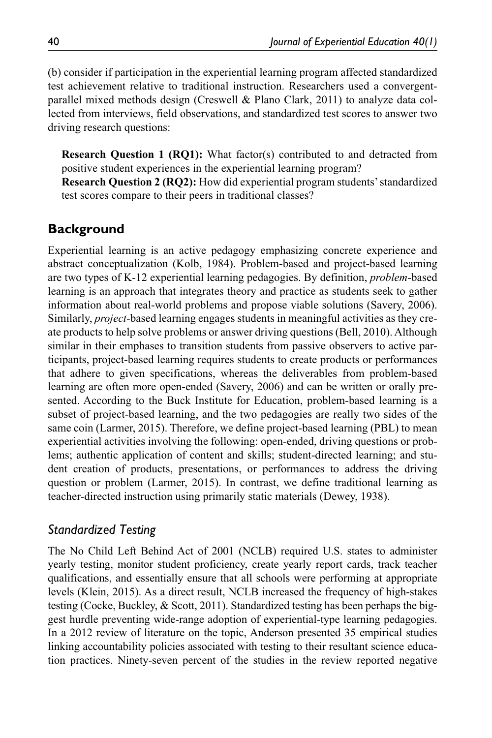(b) consider if participation in the experiential learning program affected standardized test achievement relative to traditional instruction. Researchers used a convergentparallel mixed methods design (Creswell & Plano Clark, 2011) to analyze data collected from interviews, field observations, and standardized test scores to answer two driving research questions:

**Research Question 1 (RQ1):** What factor(s) contributed to and detracted from positive student experiences in the experiential learning program?

**Research Question 2 (RQ2):** How did experiential program students' standardized test scores compare to their peers in traditional classes?

# **Background**

Experiential learning is an active pedagogy emphasizing concrete experience and abstract conceptualization (Kolb, 1984). Problem-based and project-based learning are two types of K-12 experiential learning pedagogies. By definition, *problem*-based learning is an approach that integrates theory and practice as students seek to gather information about real-world problems and propose viable solutions (Savery, 2006). Similarly, *project*-based learning engages students in meaningful activities as they create products to help solve problems or answer driving questions (Bell, 2010). Although similar in their emphases to transition students from passive observers to active participants, project-based learning requires students to create products or performances that adhere to given specifications, whereas the deliverables from problem-based learning are often more open-ended (Savery, 2006) and can be written or orally presented. According to the Buck Institute for Education, problem-based learning is a subset of project-based learning, and the two pedagogies are really two sides of the same coin (Larmer, 2015). Therefore, we define project-based learning (PBL) to mean experiential activities involving the following: open-ended, driving questions or problems; authentic application of content and skills; student-directed learning; and student creation of products, presentations, or performances to address the driving question or problem (Larmer, 2015). In contrast, we define traditional learning as teacher-directed instruction using primarily static materials (Dewey, 1938).

## *Standardized Testing*

The No Child Left Behind Act of 2001 (NCLB) required U.S. states to administer yearly testing, monitor student proficiency, create yearly report cards, track teacher qualifications, and essentially ensure that all schools were performing at appropriate levels (Klein, 2015). As a direct result, NCLB increased the frequency of high-stakes testing (Cocke, Buckley, & Scott, 2011). Standardized testing has been perhaps the biggest hurdle preventing wide-range adoption of experiential-type learning pedagogies. In a 2012 review of literature on the topic, Anderson presented 35 empirical studies linking accountability policies associated with testing to their resultant science education practices. Ninety-seven percent of the studies in the review reported negative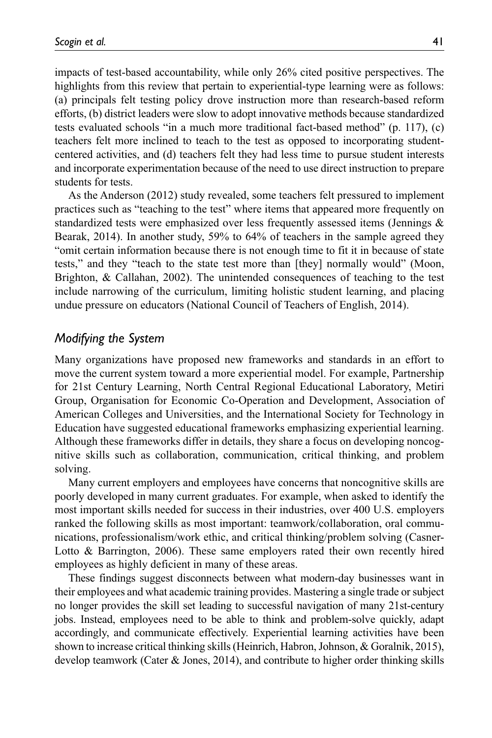impacts of test-based accountability, while only 26% cited positive perspectives. The highlights from this review that pertain to experiential-type learning were as follows: (a) principals felt testing policy drove instruction more than research-based reform efforts, (b) district leaders were slow to adopt innovative methods because standardized tests evaluated schools "in a much more traditional fact-based method" (p. 117), (c) teachers felt more inclined to teach to the test as opposed to incorporating studentcentered activities, and (d) teachers felt they had less time to pursue student interests and incorporate experimentation because of the need to use direct instruction to prepare students for tests.

As the Anderson (2012) study revealed, some teachers felt pressured to implement practices such as "teaching to the test" where items that appeared more frequently on standardized tests were emphasized over less frequently assessed items (Jennings & Bearak, 2014). In another study, 59% to 64% of teachers in the sample agreed they "omit certain information because there is not enough time to fit it in because of state tests," and they "teach to the state test more than [they] normally would" (Moon, Brighton, & Callahan, 2002). The unintended consequences of teaching to the test include narrowing of the curriculum, limiting holistic student learning, and placing undue pressure on educators (National Council of Teachers of English, 2014).

### *Modifying the System*

Many organizations have proposed new frameworks and standards in an effort to move the current system toward a more experiential model. For example, Partnership for 21st Century Learning, North Central Regional Educational Laboratory, Metiri Group, Organisation for Economic Co-Operation and Development, Association of American Colleges and Universities, and the International Society for Technology in Education have suggested educational frameworks emphasizing experiential learning. Although these frameworks differ in details, they share a focus on developing noncognitive skills such as collaboration, communication, critical thinking, and problem solving.

Many current employers and employees have concerns that noncognitive skills are poorly developed in many current graduates. For example, when asked to identify the most important skills needed for success in their industries, over 400 U.S. employers ranked the following skills as most important: teamwork/collaboration, oral communications, professionalism/work ethic, and critical thinking/problem solving (Casner-Lotto & Barrington, 2006). These same employers rated their own recently hired employees as highly deficient in many of these areas.

These findings suggest disconnects between what modern-day businesses want in their employees and what academic training provides. Mastering a single trade or subject no longer provides the skill set leading to successful navigation of many 21st-century jobs. Instead, employees need to be able to think and problem-solve quickly, adapt accordingly, and communicate effectively. Experiential learning activities have been shown to increase critical thinking skills (Heinrich, Habron, Johnson, & Goralnik, 2015), develop teamwork (Cater & Jones, 2014), and contribute to higher order thinking skills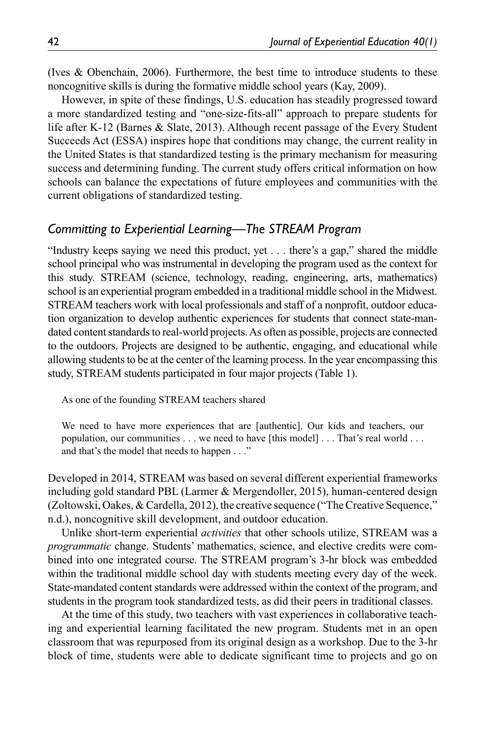(Ives & Obenchain, 2006). Furthermore, the best time to introduce students to these noncognitive skills is during the formative middle school years (Kay, 2009).

However, in spite of these findings, U.S. education has steadily progressed toward a more standardized testing and "one-size-fits-all" approach to prepare students for life after K-12 (Barnes & Slate, 2013). Although recent passage of the Every Student Succeeds Act (ESSA) inspires hope that conditions may change, the current reality in the United States is that standardized testing is the primary mechanism for measuring success and determining funding. The current study offers critical information on how schools can balance the expectations of future employees and communities with the current obligations of standardized testing.

#### *Committing to Experiential Learning—The STREAM Program*

"Industry keeps saying we need this product, yet . . . there's a gap," shared the middle school principal who was instrumental in developing the program used as the context for this study. STREAM (science, technology, reading, engineering, arts, mathematics) school is an experiential program embedded in a traditional middle school in the Midwest. STREAM teachers work with local professionals and staff of a nonprofit, outdoor education organization to develop authentic experiences for students that connect state-mandated content standards to real-world projects. As often as possible, projects are connected to the outdoors. Projects are designed to be authentic, engaging, and educational while allowing students to be at the center of the learning process. In the year encompassing this study, STREAM students participated in four major projects (Table 1).

As one of the founding STREAM teachers shared

We need to have more experiences that are [authentic]. Our kids and teachers, our population, our communities . . . we need to have [this model] . . . That's real world . . . and that's the model that needs to happen . . ."

Developed in 2014, STREAM was based on several different experiential frameworks including gold standard PBL (Larmer & Mergendoller, 2015), human-centered design (Zoltowski, Oakes, & Cardella, 2012), the creative sequence ("The Creative Sequence," n.d.), noncognitive skill development, and outdoor education.

Unlike short-term experiential *activities* that other schools utilize, STREAM was a *programmatic* change. Students' mathematics, science, and elective credits were combined into one integrated course. The STREAM program's 3-hr block was embedded within the traditional middle school day with students meeting every day of the week. State-mandated content standards were addressed within the context of the program, and students in the program took standardized tests, as did their peers in traditional classes.

At the time of this study, two teachers with vast experiences in collaborative teaching and experiential learning facilitated the new program. Students met in an open classroom that was repurposed from its original design as a workshop. Due to the 3-hr block of time, students were able to dedicate significant time to projects and go on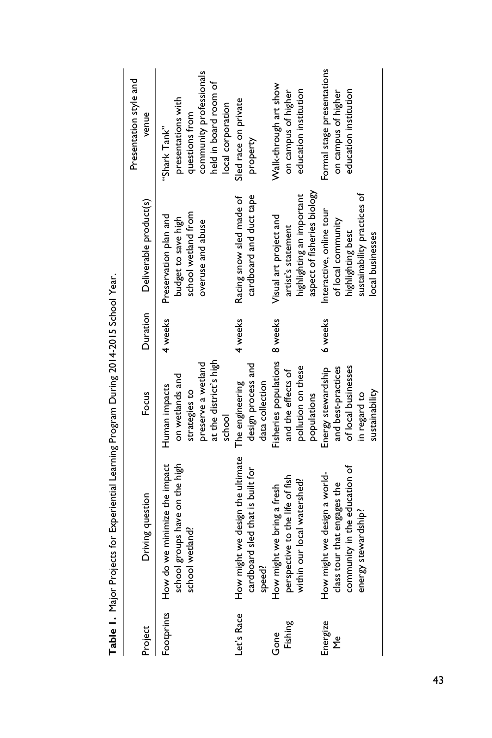|                    | $\frac{1}{2}$ . The set of $\frac{1}{2}$ is the set of $\frac{1}{2}$ is the set of $\frac{1}{2}$ is the set of $\frac{1}{2}$ is the set of $\frac{1}{2}$ |                                                                                                             |          |                                                                                                                        |                                                                                                                               |
|--------------------|----------------------------------------------------------------------------------------------------------------------------------------------------------|-------------------------------------------------------------------------------------------------------------|----------|------------------------------------------------------------------------------------------------------------------------|-------------------------------------------------------------------------------------------------------------------------------|
| Project            | Driving question                                                                                                                                         | Focus                                                                                                       | Duration | Deliverable product(s)                                                                                                 | Presentation style and<br>venue                                                                                               |
| Footprints         | school groups have on the high<br>How do we minimize the impact<br>school wetland?                                                                       | at the district's high<br>preserve a wetland<br>on wetlands and<br>Human impacts<br>strategies to<br>school | 4 weeks  | school wetland from<br>Preservation plan and<br>budget to save high<br>overuse and abuse                               | community professionals<br>held in board room of<br>presentations with<br>local corporation<br>questions from<br>"Shark Tank" |
| Let's Race         | How might we design the ultimate<br>cardboard sled that is built for<br>speed?                                                                           | design process and<br>The engineering<br>data collection                                                    | 4 weeks  | cardboard and duct tape<br>Racing snow sled made of                                                                    | Sled race on private<br>property                                                                                              |
| Fishing<br>Gone    | perspective to the life of fish<br>within our local watershed?<br>How might we bring a fresh                                                             | Fisheries populations<br>pollution on these<br>and the effects of<br>populations                            | 8 weeks  | aspect of fisheries biology<br>highlighting an important<br>Visual art project and<br>artist's statement               | Walk-through art show<br>education institution<br>on campus of higher                                                         |
| Energize<br>e<br>Σ | community in the education of<br>How might we design a world-<br>class tour that engages the<br>energy stewardship?                                      | of local businesses<br>Energy stewardship<br>and best-practices<br>sustainability<br>in regard to           | 6 weeks  | sustainability practices of<br>Interactive, online tour<br>of local community<br>highlighting best<br>local businesses | Formal stage presentations<br>education institution<br>on campus of higher                                                    |

Table 1. Major Projects for Experiential Learning Program During 2014-2015 School Year. **Table 1.** Major Projects for Experiential Learning Program During 2014-2015 School Year.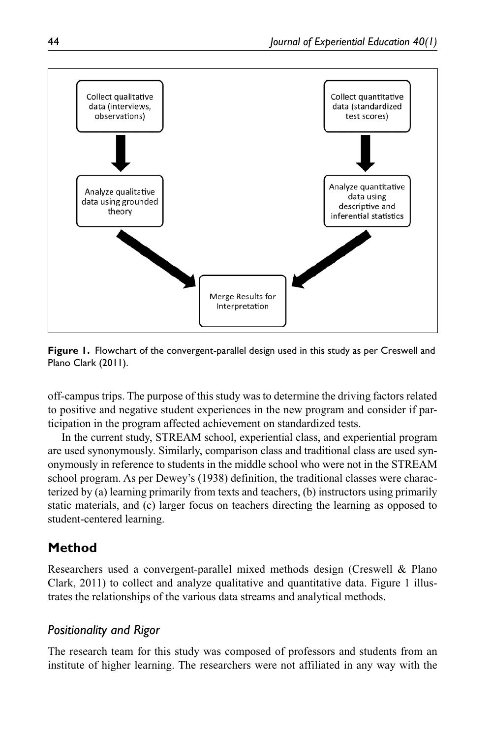

**Figure 1.** Flowchart of the convergent-parallel design used in this study as per Creswell and Plano Clark (2011).

off-campus trips. The purpose of this study was to determine the driving factors related to positive and negative student experiences in the new program and consider if participation in the program affected achievement on standardized tests.

In the current study, STREAM school, experiential class, and experiential program are used synonymously. Similarly, comparison class and traditional class are used synonymously in reference to students in the middle school who were not in the STREAM school program. As per Dewey's (1938) definition, the traditional classes were characterized by (a) learning primarily from texts and teachers, (b) instructors using primarily static materials, and (c) larger focus on teachers directing the learning as opposed to student-centered learning.

## **Method**

Researchers used a convergent-parallel mixed methods design (Creswell & Plano Clark, 2011) to collect and analyze qualitative and quantitative data. Figure 1 illustrates the relationships of the various data streams and analytical methods.

## *Positionality and Rigor*

The research team for this study was composed of professors and students from an institute of higher learning. The researchers were not affiliated in any way with the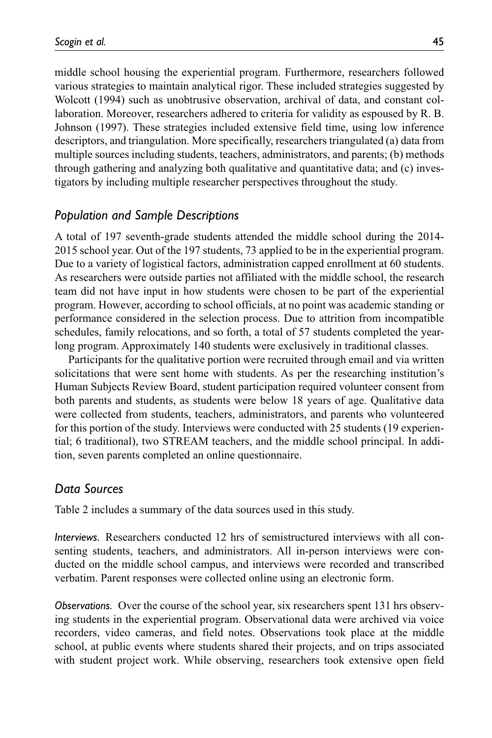middle school housing the experiential program. Furthermore, researchers followed various strategies to maintain analytical rigor. These included strategies suggested by Wolcott (1994) such as unobtrusive observation, archival of data, and constant collaboration. Moreover, researchers adhered to criteria for validity as espoused by R. B. Johnson (1997). These strategies included extensive field time, using low inference descriptors, and triangulation. More specifically, researchers triangulated (a) data from multiple sources including students, teachers, administrators, and parents; (b) methods through gathering and analyzing both qualitative and quantitative data; and (c) investigators by including multiple researcher perspectives throughout the study.

#### *Population and Sample Descriptions*

A total of 197 seventh-grade students attended the middle school during the 2014- 2015 school year. Out of the 197 students, 73 applied to be in the experiential program. Due to a variety of logistical factors, administration capped enrollment at 60 students. As researchers were outside parties not affiliated with the middle school, the research team did not have input in how students were chosen to be part of the experiential program. However, according to school officials, at no point was academic standing or performance considered in the selection process. Due to attrition from incompatible schedules, family relocations, and so forth, a total of 57 students completed the yearlong program. Approximately 140 students were exclusively in traditional classes.

Participants for the qualitative portion were recruited through email and via written solicitations that were sent home with students. As per the researching institution's Human Subjects Review Board, student participation required volunteer consent from both parents and students, as students were below 18 years of age. Qualitative data were collected from students, teachers, administrators, and parents who volunteered for this portion of the study. Interviews were conducted with 25 students (19 experiential; 6 traditional), two STREAM teachers, and the middle school principal. In addition, seven parents completed an online questionnaire.

#### *Data Sources*

Table 2 includes a summary of the data sources used in this study.

*Interviews.* Researchers conducted 12 hrs of semistructured interviews with all consenting students, teachers, and administrators. All in-person interviews were conducted on the middle school campus, and interviews were recorded and transcribed verbatim. Parent responses were collected online using an electronic form.

*Observations.* Over the course of the school year, six researchers spent 131 hrs observing students in the experiential program. Observational data were archived via voice recorders, video cameras, and field notes. Observations took place at the middle school, at public events where students shared their projects, and on trips associated with student project work. While observing, researchers took extensive open field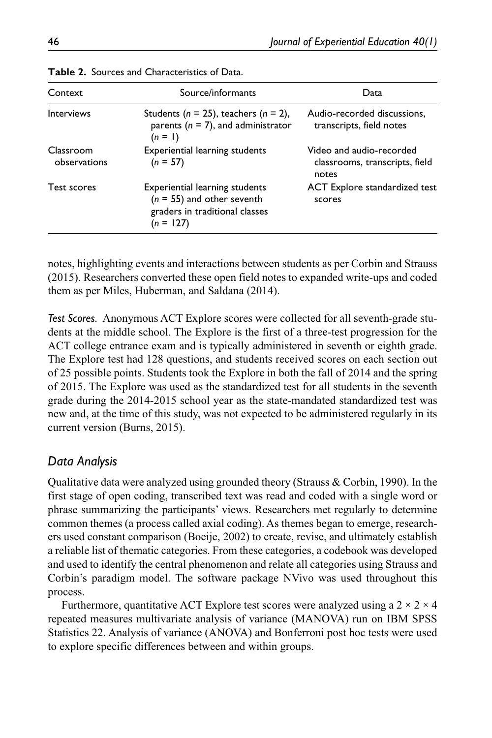| Context                   | Source/informants                                                                                               | Data                                                                |  |  |  |
|---------------------------|-----------------------------------------------------------------------------------------------------------------|---------------------------------------------------------------------|--|--|--|
| <b>Interviews</b>         | Students ( $n = 25$ ), teachers ( $n = 2$ ),<br>parents ( $n = 7$ ), and administrator<br>$(n = 1)$             | Audio-recorded discussions,<br>transcripts, field notes             |  |  |  |
| Classroom<br>observations | Experiential learning students<br>$(n = 57)$                                                                    | Video and audio-recorded<br>classrooms, transcripts, field<br>notes |  |  |  |
| Test scores               | Experiential learning students<br>$(n = 55)$ and other seventh<br>graders in traditional classes<br>$(n = 127)$ | ACT Explore standardized test<br>scores                             |  |  |  |

**Table 2.** Sources and Characteristics of Data.

notes, highlighting events and interactions between students as per Corbin and Strauss (2015). Researchers converted these open field notes to expanded write-ups and coded them as per Miles, Huberman, and Saldana (2014).

*Test Scores.* Anonymous ACT Explore scores were collected for all seventh-grade students at the middle school. The Explore is the first of a three-test progression for the ACT college entrance exam and is typically administered in seventh or eighth grade. The Explore test had 128 questions, and students received scores on each section out of 25 possible points. Students took the Explore in both the fall of 2014 and the spring of 2015. The Explore was used as the standardized test for all students in the seventh grade during the 2014-2015 school year as the state-mandated standardized test was new and, at the time of this study, was not expected to be administered regularly in its current version (Burns, 2015).

## *Data Analysis*

Qualitative data were analyzed using grounded theory (Strauss & Corbin, 1990). In the first stage of open coding, transcribed text was read and coded with a single word or phrase summarizing the participants' views. Researchers met regularly to determine common themes (a process called axial coding). As themes began to emerge, researchers used constant comparison (Boeije, 2002) to create, revise, and ultimately establish a reliable list of thematic categories. From these categories, a codebook was developed and used to identify the central phenomenon and relate all categories using Strauss and Corbin's paradigm model. The software package NVivo was used throughout this process.

Furthermore, quantitative ACT Explore test scores were analyzed using a  $2 \times 2 \times 4$ repeated measures multivariate analysis of variance (MANOVA) run on IBM SPSS Statistics 22. Analysis of variance (ANOVA) and Bonferroni post hoc tests were used to explore specific differences between and within groups.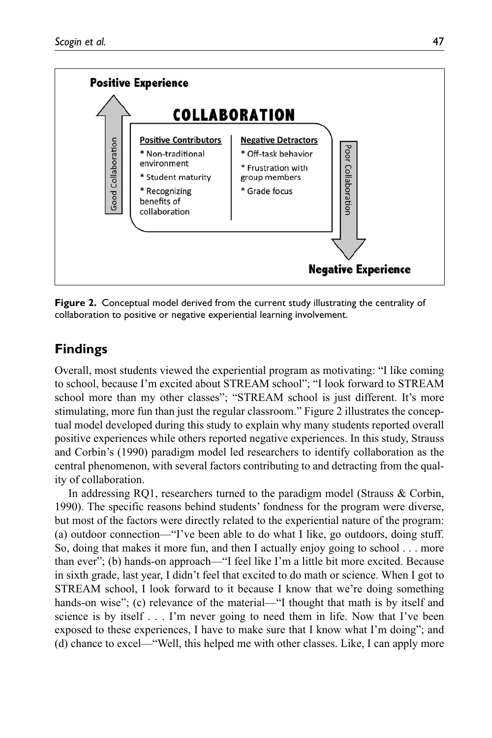

**Figure 2.** Conceptual model derived from the current study illustrating the centrality of collaboration to positive or negative experiential learning involvement.

# **Findings**

Overall, most students viewed the experiential program as motivating: "I like coming to school, because I'm excited about STREAM school"; "I look forward to STREAM school more than my other classes"; "STREAM school is just different. It's more stimulating, more fun than just the regular classroom." Figure 2 illustrates the conceptual model developed during this study to explain why many students reported overall positive experiences while others reported negative experiences. In this study, Strauss and Corbin's (1990) paradigm model led researchers to identify collaboration as the central phenomenon, with several factors contributing to and detracting from the quality of collaboration.

In addressing RQ1, researchers turned to the paradigm model (Strauss & Corbin, 1990). The specific reasons behind students' fondness for the program were diverse, but most of the factors were directly related to the experiential nature of the program: (a) outdoor connection—"I've been able to do what I like, go outdoors, doing stuff. So, doing that makes it more fun, and then I actually enjoy going to school . . . more than ever"; (b) hands-on approach—"I feel like I'm a little bit more excited. Because in sixth grade, last year, I didn't feel that excited to do math or science. When I got to STREAM school, I look forward to it because I know that we're doing something hands-on wise"; (c) relevance of the material—"I thought that math is by itself and science is by itself . . . I'm never going to need them in life. Now that I've been exposed to these experiences, I have to make sure that I know what I'm doing"; and (d) chance to excel—"Well, this helped me with other classes. Like, I can apply more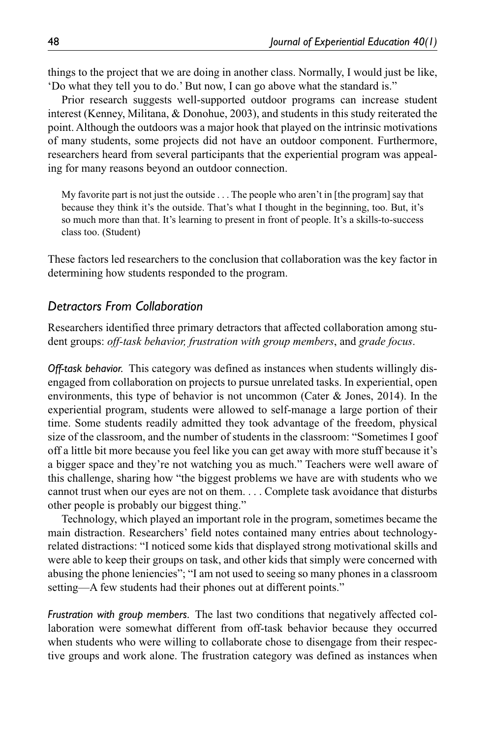things to the project that we are doing in another class. Normally, I would just be like, 'Do what they tell you to do.' But now, I can go above what the standard is."

Prior research suggests well-supported outdoor programs can increase student interest (Kenney, Militana, & Donohue, 2003), and students in this study reiterated the point. Although the outdoors was a major hook that played on the intrinsic motivations of many students, some projects did not have an outdoor component. Furthermore, researchers heard from several participants that the experiential program was appealing for many reasons beyond an outdoor connection.

My favorite part is not just the outside . . . The people who aren't in [the program] say that because they think it's the outside. That's what I thought in the beginning, too. But, it's so much more than that. It's learning to present in front of people. It's a skills-to-success class too. (Student)

These factors led researchers to the conclusion that collaboration was the key factor in determining how students responded to the program.

#### *Detractors From Collaboration*

Researchers identified three primary detractors that affected collaboration among student groups: *off-task behavior, frustration with group members*, and *grade focus*.

*Off-task behavior.* This category was defined as instances when students willingly disengaged from collaboration on projects to pursue unrelated tasks. In experiential, open environments, this type of behavior is not uncommon (Cater  $\&$  Jones, 2014). In the experiential program, students were allowed to self-manage a large portion of their time. Some students readily admitted they took advantage of the freedom, physical size of the classroom, and the number of students in the classroom: "Sometimes I goof off a little bit more because you feel like you can get away with more stuff because it's a bigger space and they're not watching you as much." Teachers were well aware of this challenge, sharing how "the biggest problems we have are with students who we cannot trust when our eyes are not on them. . . . Complete task avoidance that disturbs other people is probably our biggest thing."

Technology, which played an important role in the program, sometimes became the main distraction. Researchers' field notes contained many entries about technologyrelated distractions: "I noticed some kids that displayed strong motivational skills and were able to keep their groups on task, and other kids that simply were concerned with abusing the phone leniencies"; "I am not used to seeing so many phones in a classroom setting—A few students had their phones out at different points."

*Frustration with group members.* The last two conditions that negatively affected collaboration were somewhat different from off-task behavior because they occurred when students who were willing to collaborate chose to disengage from their respective groups and work alone. The frustration category was defined as instances when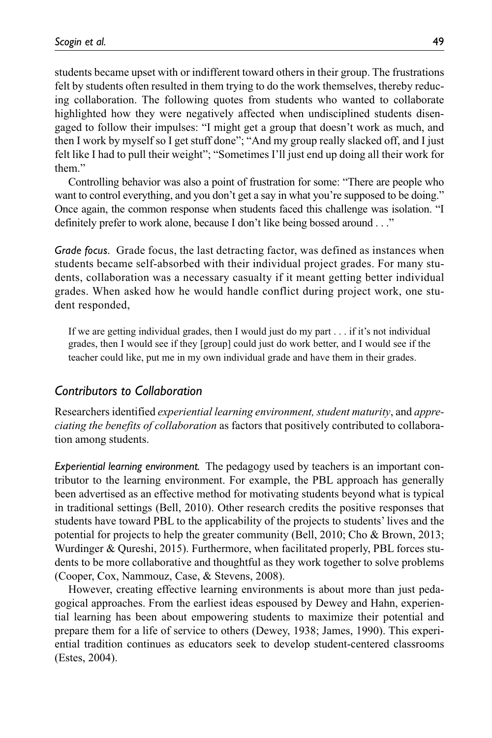students became upset with or indifferent toward others in their group. The frustrations felt by students often resulted in them trying to do the work themselves, thereby reducing collaboration. The following quotes from students who wanted to collaborate highlighted how they were negatively affected when undisciplined students disengaged to follow their impulses: "I might get a group that doesn't work as much, and then I work by myself so I get stuff done"; "And my group really slacked off, and I just felt like I had to pull their weight"; "Sometimes I'll just end up doing all their work for them."

Controlling behavior was also a point of frustration for some: "There are people who want to control everything, and you don't get a say in what you're supposed to be doing." Once again, the common response when students faced this challenge was isolation. "I definitely prefer to work alone, because I don't like being bossed around . . ."

*Grade focus.* Grade focus, the last detracting factor, was defined as instances when students became self-absorbed with their individual project grades. For many students, collaboration was a necessary casualty if it meant getting better individual grades. When asked how he would handle conflict during project work, one student responded,

If we are getting individual grades, then I would just do my part . . . if it's not individual grades, then I would see if they [group] could just do work better, and I would see if the teacher could like, put me in my own individual grade and have them in their grades.

#### *Contributors to Collaboration*

Researchers identified *experiential learning environment, student maturity*, and *appreciating the benefits of collaboration* as factors that positively contributed to collaboration among students.

*Experiential learning environment.* The pedagogy used by teachers is an important contributor to the learning environment. For example, the PBL approach has generally been advertised as an effective method for motivating students beyond what is typical in traditional settings (Bell, 2010). Other research credits the positive responses that students have toward PBL to the applicability of the projects to students' lives and the potential for projects to help the greater community (Bell, 2010; Cho & Brown, 2013; Wurdinger & Qureshi, 2015). Furthermore, when facilitated properly, PBL forces students to be more collaborative and thoughtful as they work together to solve problems (Cooper, Cox, Nammouz, Case, & Stevens, 2008).

However, creating effective learning environments is about more than just pedagogical approaches. From the earliest ideas espoused by Dewey and Hahn, experiential learning has been about empowering students to maximize their potential and prepare them for a life of service to others (Dewey, 1938; James, 1990). This experiential tradition continues as educators seek to develop student-centered classrooms (Estes, 2004).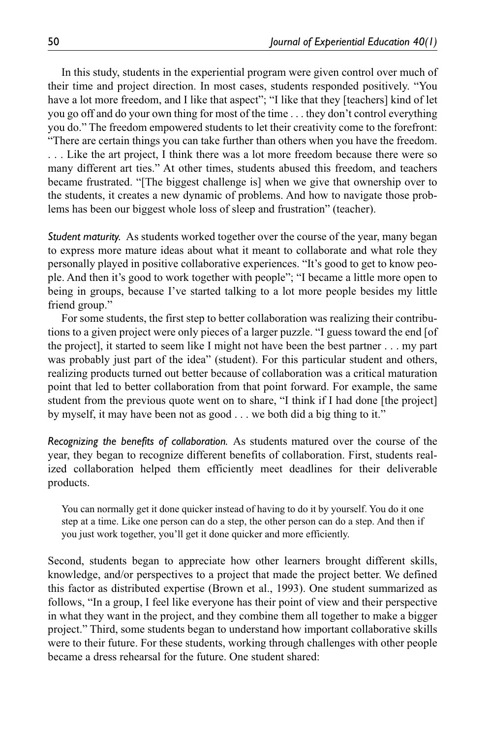In this study, students in the experiential program were given control over much of their time and project direction. In most cases, students responded positively. "You have a lot more freedom, and I like that aspect"; "I like that they [teachers] kind of let you go off and do your own thing for most of the time . . . they don't control everything you do." The freedom empowered students to let their creativity come to the forefront: "There are certain things you can take further than others when you have the freedom. . . . Like the art project, I think there was a lot more freedom because there were so many different art ties." At other times, students abused this freedom, and teachers became frustrated. "[The biggest challenge is] when we give that ownership over to the students, it creates a new dynamic of problems. And how to navigate those problems has been our biggest whole loss of sleep and frustration" (teacher).

*Student maturity.* As students worked together over the course of the year, many began to express more mature ideas about what it meant to collaborate and what role they personally played in positive collaborative experiences. "It's good to get to know people. And then it's good to work together with people"; "I became a little more open to being in groups, because I've started talking to a lot more people besides my little friend group."

For some students, the first step to better collaboration was realizing their contributions to a given project were only pieces of a larger puzzle. "I guess toward the end [of the project], it started to seem like I might not have been the best partner . . . my part was probably just part of the idea" (student). For this particular student and others, realizing products turned out better because of collaboration was a critical maturation point that led to better collaboration from that point forward. For example, the same student from the previous quote went on to share, "I think if I had done [the project] by myself, it may have been not as good . . . we both did a big thing to it."

*Recognizing the benefits of collaboration.* As students matured over the course of the year, they began to recognize different benefits of collaboration. First, students realized collaboration helped them efficiently meet deadlines for their deliverable products.

You can normally get it done quicker instead of having to do it by yourself. You do it one step at a time. Like one person can do a step, the other person can do a step. And then if you just work together, you'll get it done quicker and more efficiently.

Second, students began to appreciate how other learners brought different skills, knowledge, and/or perspectives to a project that made the project better. We defined this factor as distributed expertise (Brown et al., 1993). One student summarized as follows, "In a group, I feel like everyone has their point of view and their perspective in what they want in the project, and they combine them all together to make a bigger project." Third, some students began to understand how important collaborative skills were to their future. For these students, working through challenges with other people became a dress rehearsal for the future. One student shared: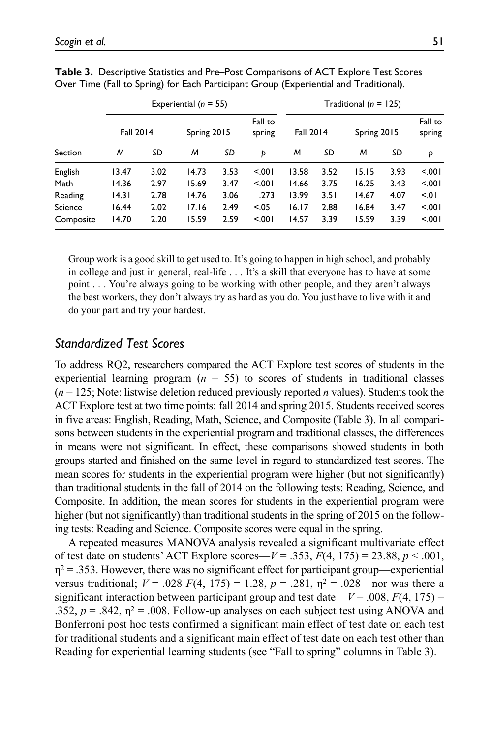|           | Experiential $(n = 55)$ |      |             |      |                   | Traditional $(n = 125)$ |      |             |      |                   |
|-----------|-------------------------|------|-------------|------|-------------------|-------------------------|------|-------------|------|-------------------|
|           | <b>Fall 2014</b>        |      | Spring 2015 |      | Fall to<br>spring | <b>Fall 2014</b>        |      | Spring 2015 |      | Fall to<br>spring |
| Section   | M                       | SD   | M           | SD   | Þ                 | M                       | SD   | M           | SD   | Þ                 |
| English   | 13.47                   | 3.02 | 14.73       | 3.53 | 5.001             | 13.58                   | 3.52 | 15.15       | 3.93 | 5.001             |
| Math      | 14.36                   | 2.97 | 15.69       | 3.47 | 5.001             | 14.66                   | 3.75 | 16.25       | 3.43 | 5.001             |
| Reading   | 14.31                   | 2.78 | 14.76       | 3.06 | .273              | 13.99                   | 3.51 | 14.67       | 4.07 | 5.01              |
| Science   | 16.44                   | 2.02 | 17.16       | 2.49 | < 0.05            | 16.17                   | 2.88 | 16.84       | 3.47 | 5.001             |
| Composite | 14.70                   | 2.20 | 15.59       | 2.59 | 5.001             | 14.57                   | 3.39 | 15.59       | 3.39 | 5.001             |

**Table 3.** Descriptive Statistics and Pre–Post Comparisons of ACT Explore Test Scores Over Time (Fall to Spring) for Each Participant Group (Experiential and Traditional).

Group work is a good skill to get used to. It's going to happen in high school, and probably in college and just in general, real-life . . . It's a skill that everyone has to have at some point . . . You're always going to be working with other people, and they aren't always the best workers, they don't always try as hard as you do. You just have to live with it and do your part and try your hardest.

## *Standardized Test Scores*

To address RQ2, researchers compared the ACT Explore test scores of students in the experiential learning program (*n* = 55) to scores of students in traditional classes (*n* = 125; Note: listwise deletion reduced previously reported *n* values). Students took the ACT Explore test at two time points: fall 2014 and spring 2015. Students received scores in five areas: English, Reading, Math, Science, and Composite (Table 3). In all comparisons between students in the experiential program and traditional classes, the differences in means were not significant. In effect, these comparisons showed students in both groups started and finished on the same level in regard to standardized test scores. The mean scores for students in the experiential program were higher (but not significantly) than traditional students in the fall of 2014 on the following tests: Reading, Science, and Composite. In addition, the mean scores for students in the experiential program were higher (but not significantly) than traditional students in the spring of 2015 on the following tests: Reading and Science. Composite scores were equal in the spring.

A repeated measures MANOVA analysis revealed a significant multivariate effect of test date on students' ACT Explore scores— $V = .353$ ,  $F(4, 175) = 23.88$ ,  $p < .001$ ,  $\eta^2$  = .353. However, there was no significant effect for participant group—experiential versus traditional;  $V = .028$   $F(4, 175) = 1.28$ ,  $p = .281$ ,  $p^2 = .028$ —nor was there a significant interaction between participant group and test date— $V = .008$ ,  $F(4, 175) =$ .352,  $p = .842$ ,  $n^2 = .008$ . Follow-up analyses on each subject test using ANOVA and Bonferroni post hoc tests confirmed a significant main effect of test date on each test for traditional students and a significant main effect of test date on each test other than Reading for experiential learning students (see "Fall to spring" columns in Table 3).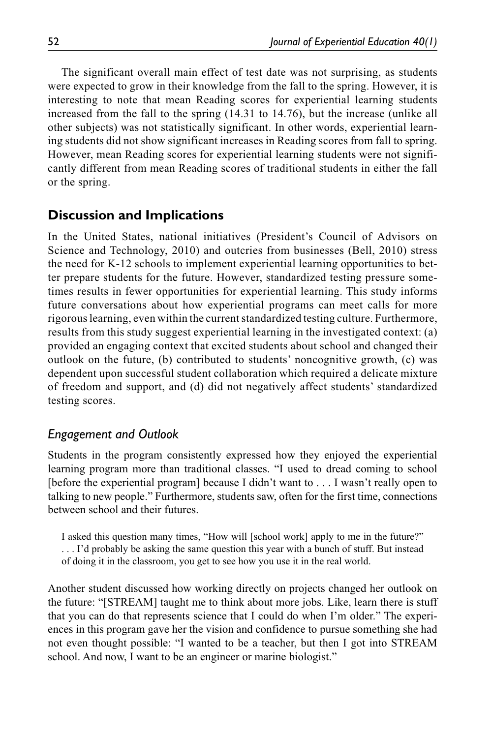The significant overall main effect of test date was not surprising, as students were expected to grow in their knowledge from the fall to the spring. However, it is interesting to note that mean Reading scores for experiential learning students increased from the fall to the spring (14.31 to 14.76), but the increase (unlike all other subjects) was not statistically significant. In other words, experiential learning students did not show significant increases in Reading scores from fall to spring. However, mean Reading scores for experiential learning students were not significantly different from mean Reading scores of traditional students in either the fall or the spring.

## **Discussion and Implications**

In the United States, national initiatives (President's Council of Advisors on Science and Technology, 2010) and outcries from businesses (Bell, 2010) stress the need for K-12 schools to implement experiential learning opportunities to better prepare students for the future. However, standardized testing pressure sometimes results in fewer opportunities for experiential learning. This study informs future conversations about how experiential programs can meet calls for more rigorous learning, even within the current standardized testing culture. Furthermore, results from this study suggest experiential learning in the investigated context: (a) provided an engaging context that excited students about school and changed their outlook on the future, (b) contributed to students' noncognitive growth, (c) was dependent upon successful student collaboration which required a delicate mixture of freedom and support, and (d) did not negatively affect students' standardized testing scores.

## *Engagement and Outlook*

Students in the program consistently expressed how they enjoyed the experiential learning program more than traditional classes. "I used to dread coming to school [before the experiential program] because I didn't want to . . . I wasn't really open to talking to new people." Furthermore, students saw, often for the first time, connections between school and their futures.

I asked this question many times, "How will [school work] apply to me in the future?" . . . I'd probably be asking the same question this year with a bunch of stuff. But instead of doing it in the classroom, you get to see how you use it in the real world.

Another student discussed how working directly on projects changed her outlook on the future: "[STREAM] taught me to think about more jobs. Like, learn there is stuff that you can do that represents science that I could do when I'm older." The experiences in this program gave her the vision and confidence to pursue something she had not even thought possible: "I wanted to be a teacher, but then I got into STREAM school. And now, I want to be an engineer or marine biologist."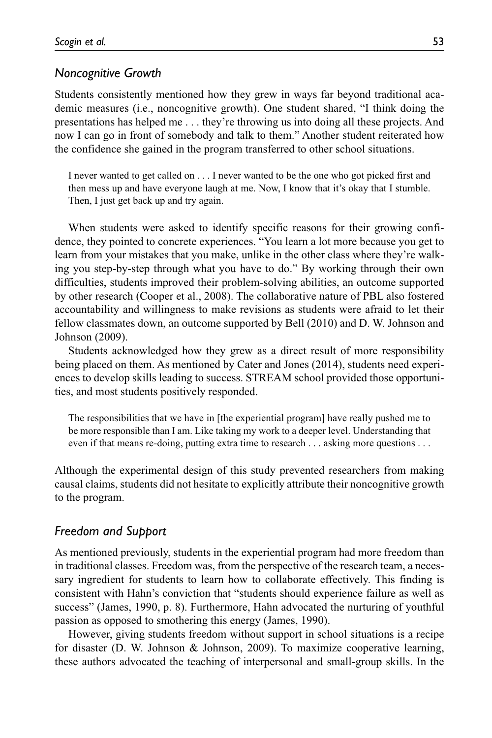#### *Noncognitive Growth*

Students consistently mentioned how they grew in ways far beyond traditional academic measures (i.e., noncognitive growth). One student shared, "I think doing the presentations has helped me . . . they're throwing us into doing all these projects. And now I can go in front of somebody and talk to them." Another student reiterated how the confidence she gained in the program transferred to other school situations.

I never wanted to get called on . . . I never wanted to be the one who got picked first and then mess up and have everyone laugh at me. Now, I know that it's okay that I stumble. Then, I just get back up and try again.

When students were asked to identify specific reasons for their growing confidence, they pointed to concrete experiences. "You learn a lot more because you get to learn from your mistakes that you make, unlike in the other class where they're walking you step-by-step through what you have to do." By working through their own difficulties, students improved their problem-solving abilities, an outcome supported by other research (Cooper et al., 2008). The collaborative nature of PBL also fostered accountability and willingness to make revisions as students were afraid to let their fellow classmates down, an outcome supported by Bell (2010) and D. W. Johnson and Johnson (2009).

Students acknowledged how they grew as a direct result of more responsibility being placed on them. As mentioned by Cater and Jones (2014), students need experiences to develop skills leading to success. STREAM school provided those opportunities, and most students positively responded.

The responsibilities that we have in [the experiential program] have really pushed me to be more responsible than I am. Like taking my work to a deeper level. Understanding that even if that means re-doing, putting extra time to research . . . asking more questions . . .

Although the experimental design of this study prevented researchers from making causal claims, students did not hesitate to explicitly attribute their noncognitive growth to the program.

#### *Freedom and Support*

As mentioned previously, students in the experiential program had more freedom than in traditional classes. Freedom was, from the perspective of the research team, a necessary ingredient for students to learn how to collaborate effectively. This finding is consistent with Hahn's conviction that "students should experience failure as well as success" (James, 1990, p. 8). Furthermore, Hahn advocated the nurturing of youthful passion as opposed to smothering this energy (James, 1990).

However, giving students freedom without support in school situations is a recipe for disaster (D. W. Johnson & Johnson, 2009). To maximize cooperative learning, these authors advocated the teaching of interpersonal and small-group skills. In the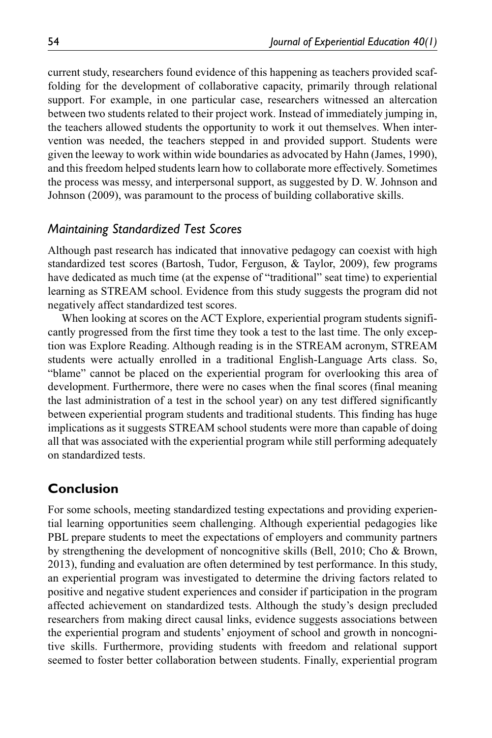current study, researchers found evidence of this happening as teachers provided scaffolding for the development of collaborative capacity, primarily through relational support. For example, in one particular case, researchers witnessed an altercation between two students related to their project work. Instead of immediately jumping in, the teachers allowed students the opportunity to work it out themselves. When intervention was needed, the teachers stepped in and provided support. Students were given the leeway to work within wide boundaries as advocated by Hahn (James, 1990), and this freedom helped students learn how to collaborate more effectively. Sometimes the process was messy, and interpersonal support, as suggested by D. W. Johnson and Johnson (2009), was paramount to the process of building collaborative skills.

#### *Maintaining Standardized Test Scores*

Although past research has indicated that innovative pedagogy can coexist with high standardized test scores (Bartosh, Tudor, Ferguson, & Taylor, 2009), few programs have dedicated as much time (at the expense of "traditional" seat time) to experiential learning as STREAM school. Evidence from this study suggests the program did not negatively affect standardized test scores.

When looking at scores on the ACT Explore, experiential program students significantly progressed from the first time they took a test to the last time. The only exception was Explore Reading. Although reading is in the STREAM acronym, STREAM students were actually enrolled in a traditional English-Language Arts class. So, "blame" cannot be placed on the experiential program for overlooking this area of development. Furthermore, there were no cases when the final scores (final meaning the last administration of a test in the school year) on any test differed significantly between experiential program students and traditional students. This finding has huge implications as it suggests STREAM school students were more than capable of doing all that was associated with the experiential program while still performing adequately on standardized tests.

## **Conclusion**

For some schools, meeting standardized testing expectations and providing experiential learning opportunities seem challenging. Although experiential pedagogies like PBL prepare students to meet the expectations of employers and community partners by strengthening the development of noncognitive skills (Bell, 2010; Cho & Brown, 2013), funding and evaluation are often determined by test performance. In this study, an experiential program was investigated to determine the driving factors related to positive and negative student experiences and consider if participation in the program affected achievement on standardized tests. Although the study's design precluded researchers from making direct causal links, evidence suggests associations between the experiential program and students' enjoyment of school and growth in noncognitive skills. Furthermore, providing students with freedom and relational support seemed to foster better collaboration between students. Finally, experiential program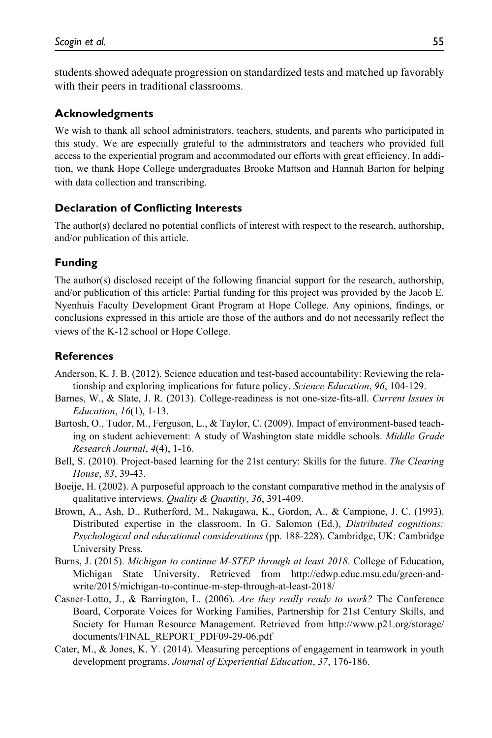students showed adequate progression on standardized tests and matched up favorably with their peers in traditional classrooms.

#### **Acknowledgments**

We wish to thank all school administrators, teachers, students, and parents who participated in this study. We are especially grateful to the administrators and teachers who provided full access to the experiential program and accommodated our efforts with great efficiency. In addition, we thank Hope College undergraduates Brooke Mattson and Hannah Barton for helping with data collection and transcribing.

#### **Declaration of Conflicting Interests**

The author(s) declared no potential conflicts of interest with respect to the research, authorship, and/or publication of this article.

### **Funding**

The author(s) disclosed receipt of the following financial support for the research, authorship, and/or publication of this article: Partial funding for this project was provided by the Jacob E. Nyenhuis Faculty Development Grant Program at Hope College. Any opinions, findings, or conclusions expressed in this article are those of the authors and do not necessarily reflect the views of the K-12 school or Hope College.

#### **References**

- Anderson, K. J. B. (2012). Science education and test-based accountability: Reviewing the relationship and exploring implications for future policy. *Science Education*, *96*, 104-129.
- Barnes, W., & Slate, J. R. (2013). College-readiness is not one-size-fits-all. *Current Issues in Education*, *16*(1), 1-13.
- Bartosh, O., Tudor, M., Ferguson, L., & Taylor, C. (2009). Impact of environment-based teaching on student achievement: A study of Washington state middle schools. *Middle Grade Research Journal*, *4*(4), 1-16.
- Bell, S. (2010). Project-based learning for the 21st century: Skills for the future. *The Clearing House*, *83*, 39-43.
- Boeije, H. (2002). A purposeful approach to the constant comparative method in the analysis of qualitative interviews. *Quality & Quantity*, *36*, 391-409.
- Brown, A., Ash, D., Rutherford, M., Nakagawa, K., Gordon, A., & Campione, J. C. (1993). Distributed expertise in the classroom. In G. Salomon (Ed.), *Distributed cognitions: Psychological and educational considerations* (pp. 188-228). Cambridge, UK: Cambridge University Press.
- Burns, J. (2015). *Michigan to continue M-STEP through at least 2018*. College of Education, Michigan State University. Retrieved from [http://edwp.educ.msu.edu/green-and](http://edwp.educ.msu.edu/green-and-write/2015/michigan-to-continue-m-step-through-at-least-2018/)[write/2015/michigan-to-continue-m-step-through-at-least-2018/](http://edwp.educ.msu.edu/green-and-write/2015/michigan-to-continue-m-step-through-at-least-2018/)
- Casner-Lotto, J., & Barrington, L. (2006). *Are they really ready to work?* The Conference Board, Corporate Voices for Working Families, Partnership for 21st Century Skills, and Society for Human Resource Management. Retrieved from [http://www.p21.org/storage/](http://www.p21.org/storage/documents/FINAL_REPORT_PDF09-29-06.pdf) [documents/FINAL\\_REPORT\\_PDF09-29-06.pdf](http://www.p21.org/storage/documents/FINAL_REPORT_PDF09-29-06.pdf)
- Cater, M., & Jones, K. Y. (2014). Measuring perceptions of engagement in teamwork in youth development programs. *Journal of Experiential Education*, *37*, 176-186.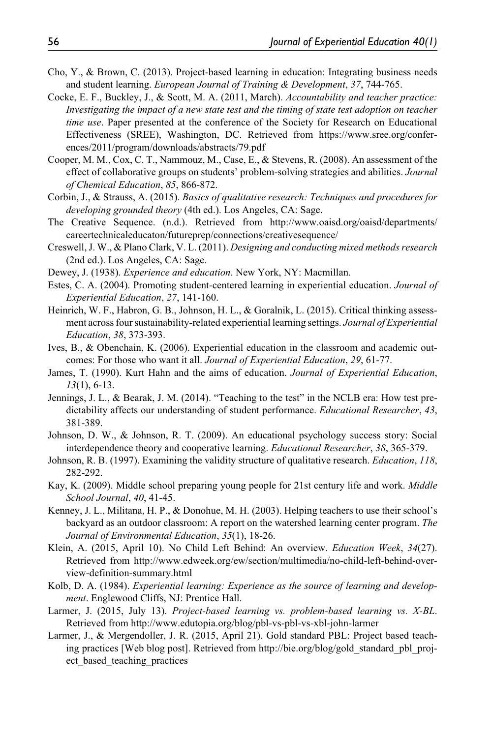- Cho, Y., & Brown, C. (2013). Project-based learning in education: Integrating business needs and student learning. *European Journal of Training & Development*, *37*, 744-765.
- Cocke, E. F., Buckley, J., & Scott, M. A. (2011, March). *Accountability and teacher practice: Investigating the impact of a new state test and the timing of state test adoption on teacher time use*. Paper presented at the conference of the Society for Research on Educational Effectiveness (SREE), Washington, DC. Retrieved from [https://www.sree.org/confer](https://www.sree.org/conferences/2011/program/downloads/abstracts/79.pdf)[ences/2011/program/downloads/abstracts/79.pdf](https://www.sree.org/conferences/2011/program/downloads/abstracts/79.pdf)
- Cooper, M. M., Cox, C. T., Nammouz, M., Case, E., & Stevens, R. (2008). An assessment of the effect of collaborative groups on students' problem-solving strategies and abilities. *Journal of Chemical Education*, *85*, 866-872.
- Corbin, J., & Strauss, A. (2015). *Basics of qualitative research: Techniques and procedures for developing grounded theory* (4th ed.). Los Angeles, CA: Sage.
- The Creative Sequence. (n.d.). Retrieved from [http://www.oaisd.org/oaisd/departments/](http://www.oaisd.org/oaisd/departments/careertechnicaleducaton/futureprep/connections/creativesequence/) [careertechnicaleducaton/futureprep/connections/creativesequence/](http://www.oaisd.org/oaisd/departments/careertechnicaleducaton/futureprep/connections/creativesequence/)
- Creswell, J. W., & Plano Clark, V. L. (2011). *Designing and conducting mixed methods research* (2nd ed.). Los Angeles, CA: Sage.
- Dewey, J. (1938). *Experience and education*. New York, NY: Macmillan.
- Estes, C. A. (2004). Promoting student-centered learning in experiential education. *Journal of Experiential Education*, *27*, 141-160.
- Heinrich, W. F., Habron, G. B., Johnson, H. L., & Goralnik, L. (2015). Critical thinking assessment across four sustainability-related experiential learning settings. *Journal of Experiential Education*, *38*, 373-393.
- Ives, B., & Obenchain, K. (2006). Experiential education in the classroom and academic outcomes: For those who want it all. *Journal of Experiential Education*, *29*, 61-77.
- James, T. (1990). Kurt Hahn and the aims of education. *Journal of Experiential Education*, *13*(1), 6-13.
- Jennings, J. L., & Bearak, J. M. (2014). "Teaching to the test" in the NCLB era: How test predictability affects our understanding of student performance. *Educational Researcher*, *43*, 381-389.
- Johnson, D. W., & Johnson, R. T. (2009). An educational psychology success story: Social interdependence theory and cooperative learning. *Educational Researcher*, *38*, 365-379.
- Johnson, R. B. (1997). Examining the validity structure of qualitative research. *Education*, *118*, 282-292.
- Kay, K. (2009). Middle school preparing young people for 21st century life and work. *Middle School Journal*, *40*, 41-45.
- Kenney, J. L., Militana, H. P., & Donohue, M. H. (2003). Helping teachers to use their school's backyard as an outdoor classroom: A report on the watershed learning center program. *The Journal of Environmental Education*, *35*(1), 18-26.
- Klein, A. (2015, April 10). No Child Left Behind: An overview. *Education Week*, *34*(27). Retrieved from [http://www.edweek.org/ew/section/multimedia/no-child-left-behind-over](http://www.edweek.org/ew/section/multimedia/no-child-left-behind-overview-definition-summary.html)[view-definition-summary.html](http://www.edweek.org/ew/section/multimedia/no-child-left-behind-overview-definition-summary.html)
- Kolb, D. A. (1984). *Experiential learning: Experience as the source of learning and development*. Englewood Cliffs, NJ: Prentice Hall.
- Larmer, J. (2015, July 13). *Project-based learning vs. problem-based learning vs. X-BL*. Retrieved from <http://www.edutopia.org/blog/pbl-vs-pbl-vs-xbl-john-larmer>
- Larmer, J., & Mergendoller, J. R. (2015, April 21). Gold standard PBL: Project based teaching practices [Web blog post]. Retrieved from [http://bie.org/blog/gold\\_standard\\_pbl\\_proj](http://bie.org/blog/gold_standard_pbl_project_based_teaching_practices)ect based teaching practices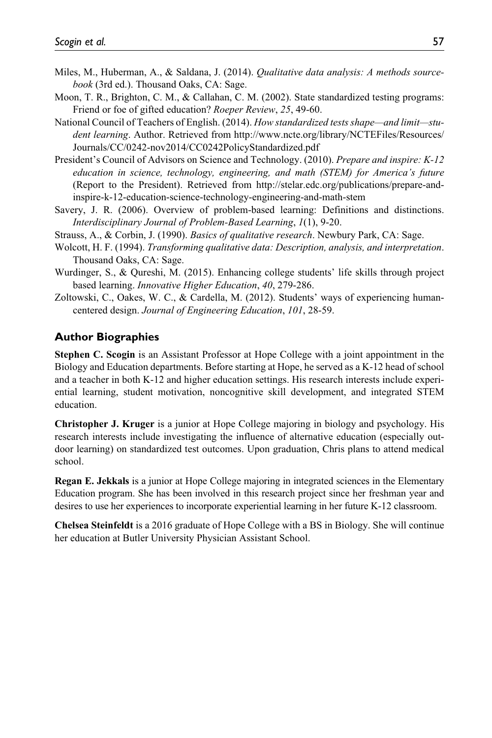- Miles, M., Huberman, A., & Saldana, J. (2014). *Qualitative data analysis: A methods sourcebook* (3rd ed.). Thousand Oaks, CA: Sage.
- Moon, T. R., Brighton, C. M., & Callahan, C. M. (2002). State standardized testing programs: Friend or foe of gifted education? *Roeper Review*, *25*, 49-60.
- National Council of Teachers of English. (2014). *How standardized tests shape—and limit—student learning*. Author. Retrieved from [http://www.ncte.org/library/NCTEFiles/Resources/](http://www.ncte.org/library/NCTEFiles/Resources/Journals/CC/0242-nov2014/CC0242PolicyStandardized.pdf) [Journals/CC/0242-nov2014/CC0242PolicyStandardized.pdf](http://www.ncte.org/library/NCTEFiles/Resources/Journals/CC/0242-nov2014/CC0242PolicyStandardized.pdf)
- President's Council of Advisors on Science and Technology. (2010). *Prepare and inspire: K-12 education in science, technology, engineering, and math (STEM) for America's future* (Report to the President). Retrieved from [http://stelar.edc.org/publications/prepare-and](http://stelar.edc.org/publications/prepare-and-inspire-k-12-education-science-technology-engineering-and-math-stem)[inspire-k-12-education-science-technology-engineering-and-math-stem](http://stelar.edc.org/publications/prepare-and-inspire-k-12-education-science-technology-engineering-and-math-stem)
- Savery, J. R. (2006). Overview of problem-based learning: Definitions and distinctions. *Interdisciplinary Journal of Problem-Based Learning*, *1*(1), 9-20.
- Strauss, A., & Corbin, J. (1990). *Basics of qualitative research*. Newbury Park, CA: Sage.
- Wolcott, H. F. (1994). *Transforming qualitative data: Description, analysis, and interpretation*. Thousand Oaks, CA: Sage.
- Wurdinger, S., & Qureshi, M. (2015). Enhancing college students' life skills through project based learning. *Innovative Higher Education*, *40*, 279-286.
- Zoltowski, C., Oakes, W. C., & Cardella, M. (2012). Students' ways of experiencing humancentered design. *Journal of Engineering Education*, *101*, 28-59.

#### **Author Biographies**

**Stephen C. Scogin** is an Assistant Professor at Hope College with a joint appointment in the Biology and Education departments. Before starting at Hope, he served as a K-12 head of school and a teacher in both K-12 and higher education settings. His research interests include experiential learning, student motivation, noncognitive skill development, and integrated STEM education.

**Christopher J. Kruger** is a junior at Hope College majoring in biology and psychology. His research interests include investigating the influence of alternative education (especially outdoor learning) on standardized test outcomes. Upon graduation, Chris plans to attend medical school.

**Regan E. Jekkals** is a junior at Hope College majoring in integrated sciences in the Elementary Education program. She has been involved in this research project since her freshman year and desires to use her experiences to incorporate experiential learning in her future K-12 classroom.

**Chelsea Steinfeldt** is a 2016 graduate of Hope College with a BS in Biology. She will continue her education at Butler University Physician Assistant School.